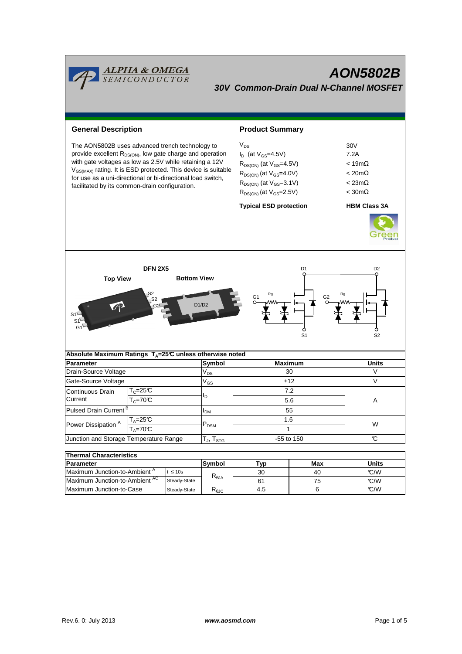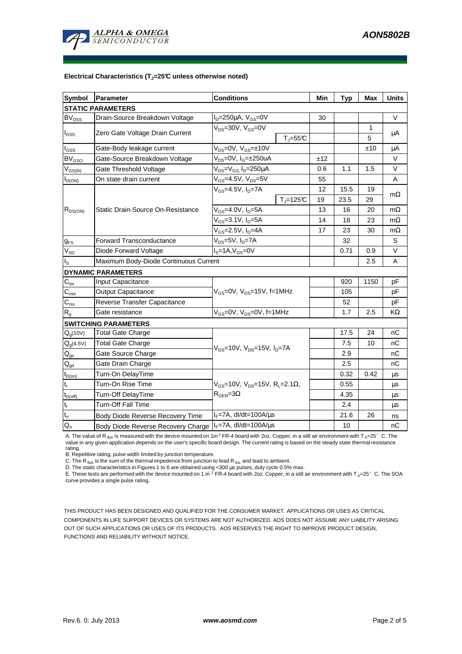

## **Electrical Characteristics (TJ=25°C unless otherwise noted)**

| <b>Symbol</b>             | Parameter                                                 | <b>Conditions</b>                                                                          |                              | Min | <b>Typ</b> | Max  | <b>Units</b> |
|---------------------------|-----------------------------------------------------------|--------------------------------------------------------------------------------------------|------------------------------|-----|------------|------|--------------|
|                           | <b>STATIC PARAMETERS</b>                                  |                                                                                            |                              |     |            |      |              |
| <b>BV<sub>DSS</sub></b>   | Drain-Source Breakdown Voltage                            | $I_D = 250 \mu A$ , $V_{GS} = 0V$                                                          |                              | 30  |            |      | V            |
| $I_{DSS}$                 | Zero Gate Voltage Drain Current                           | $V_{DS}$ =30V, $V_{GS}$ =0V                                                                |                              |     |            | 1    |              |
|                           |                                                           |                                                                                            | $T_{\text{J}} = 55^{\circ}C$ |     |            | 5    | μA           |
| $I_{GSS}$                 | Gate-Body leakage current                                 | $V_{DS} = 0V$ , $V_{GS} = \pm 10V$                                                         |                              |     |            | ±10  | μA           |
| <b>BV<sub>GSO</sub></b>   | Gate-Source Breakdown Voltage                             | V <sub>DS</sub> =0V, I <sub>G</sub> =±250uA                                                |                              | ±12 |            |      | V            |
| $V_{GS(th)}$              | Gate Threshold Voltage                                    | V <sub>DS</sub> =V <sub>GS.</sub> I <sub>D</sub> =250µA                                    |                              | 0.6 | 1.1        | 1.5  | $\vee$       |
| $I_{D(ON)}$               | On state drain current                                    | $V_{GS}$ =4.5V, $V_{DS}$ =5V                                                               |                              | 55  |            |      | A            |
| $R_{DS(ON)}$              | <b>Static Drain-Source On-Resistance</b>                  | $V_{GS}$ =4.5V, $I_{D}$ =7A                                                                |                              | 12  | 15.5       | 19   | $m\Omega$    |
|                           |                                                           |                                                                                            | $T_i = 125C$                 | 19  | 23.5       | 29   |              |
|                           |                                                           | $V_{GS}$ =4.0V, $I_D$ =5A                                                                  |                              | 13  | 16         | 20   | $m\Omega$    |
|                           |                                                           | $V_{GS} = 3.1 V, I_D = 5A$                                                                 |                              | 14  | 18         | 23   | $m\Omega$    |
|                           |                                                           | V <sub>GS</sub> =2.5V, I <sub>D</sub> =4A                                                  |                              | 17  | 23         | 30   | $m\Omega$    |
| $g_{FS}$                  | <b>Forward Transconductance</b>                           | V <sub>DS</sub> =5V, I <sub>D</sub> =7A                                                    |                              |     | 32         |      | S            |
| $V_{SD}$                  | Diode Forward Voltage                                     | $IS=1A, VGS=0V$                                                                            |                              |     | 0.71       | 0.9  | $\vee$       |
| $I_{\rm S}$               | Maximum Body-Diode Continuous Current                     |                                                                                            |                              |     |            | 2.5  | A            |
|                           | <b>DYNAMIC PARAMETERS</b>                                 |                                                                                            |                              |     |            |      |              |
| $C_{\text{iss}}$          | <b>Input Capacitance</b>                                  | $V_{GS}$ =0V, $V_{DS}$ =15V, f=1MHz                                                        |                              |     | 920        | 1150 | pF           |
| $C_{\rm oss}$             | <b>Output Capacitance</b>                                 |                                                                                            |                              |     | 105        |      | pF           |
| $C_{\text{rss}}$          | Reverse Transfer Capacitance                              |                                                                                            |                              |     | 52         |      | pF           |
| $\mathsf{R}_{\mathsf{g}}$ | Gate resistance                                           | V <sub>GS</sub> =0V, V <sub>DS</sub> =0V, f=1MHz                                           |                              |     | 1.7        | 2.5  | KΩ           |
|                           | <b>SWITCHING PARAMETERS</b>                               |                                                                                            |                              |     |            |      |              |
| $Q_g(10V)$                | <b>Total Gate Charge</b>                                  | $V_{GS}$ =10V, $V_{DS}$ =15V, $I_{D}$ =7A                                                  |                              |     | 17.5       | 24   | nC           |
| $Q_g(4.5V)$               | <b>Total Gate Charge</b>                                  |                                                                                            |                              |     | 7.5        | 10   | nС           |
| $Q_{gs}$                  | Gate Source Charge                                        |                                                                                            |                              |     | 2.9        |      | nС           |
| $Q_{gd}$                  | Gate Drain Charge                                         |                                                                                            |                              |     | 2.5        |      | nС           |
| $t_{D(on)}$               | Turn-On DelayTime                                         |                                                                                            |                              |     | 0.32       | 0.42 | μs           |
| $t_r$                     | Turn-On Rise Time                                         | $V_{GS}$ =10V, $V_{DS}$ =15V, R <sub>L</sub> =2.1 $\Omega$ ,<br>$R_{\text{GEN}} = 3\Omega$ |                              |     | 0.55       |      | μs           |
| $t_{D{\rm (off)}}$        | Turn-Off DelayTime                                        |                                                                                            |                              |     | 4.35       |      | μs           |
| $\mathbf{t}_\text{f}$     | <b>Turn-Off Fall Time</b>                                 |                                                                                            |                              |     | 2.4        |      | μs           |
| $t_{rr}$                  | Body Diode Reverse Recovery Time                          | $I_F = 7A$ , dl/dt=100A/ $\mu$ s                                                           |                              |     | 21.6       | 26   | ns           |
| $Q_{rr}$                  | Body Diode Reverse Recovery Charge   IF=7A, dl/dt=100A/us |                                                                                            |                              |     | 10         |      | nC           |

A: The value of R<sub>BJA</sub> is measured with the device mounted on 1in<sup>2</sup> FR-4 board with 2oz. Copper, in a still air environment with T<sub>A</sub>=25°C. The value in any given application depends on the user's specific board design. The current rating is based on the steady state thermal resistance rating.

B: Repetitive rating, pulse width limited by junction temperature.

C. The R  $_{\theta$ JA is the sum of the thermal impedence from junction to lead R  $_{\theta$ JL and lead to ambient.

D. The static characteristics in Figures 1 to 6 are obtained using <300 µs pulses, duty cycle 0.5% max.

E. These tests are performed with the device mounted on 1 in <sup>2</sup> FR-4 board with 2oz. Copper, in a still air environment with T <sub>A</sub>=25°C. The SOA curve provides a single pulse rating.

THIS PRODUCT HAS BEEN DESIGNED AND QUALIFIED FOR THE CONSUMER MARKET. APPLICATIONS OR USES AS CRITICAL COMPONENTS IN LIFE SUPPORT DEVICES OR SYSTEMS ARE NOT AUTHORIZED. AOS DOES NOT ASSUME ANY LIABILITY ARISING OUT OF SUCH APPLICATIONS OR USES OF ITS PRODUCTS. AOS RESERVES THE RIGHT TO IMPROVE PRODUCT DESIGN, FUNCTIONS AND RELIABILITY WITHOUT NOTICE.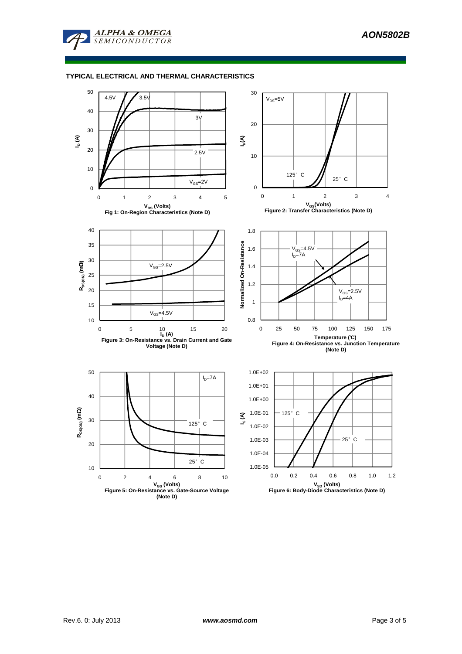

## **TYPICAL ELECTRICAL AND THERMAL CHARACTERISTICS**

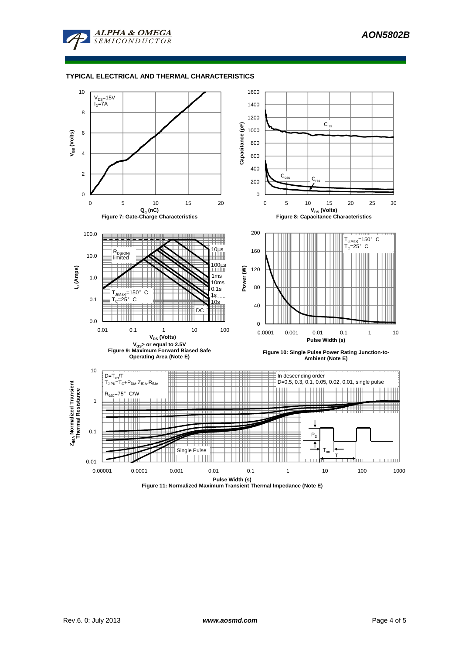

## **TYPICAL ELECTRICAL AND THERMAL CHARACTERISTICS**